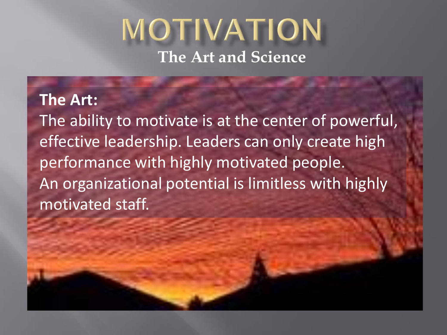#### MOTIVATION **The Art and Science**

## **The Art:**

The ability to motivate is at the center of powerful, effective leadership. Leaders can only create high performance with highly motivated people. An organizational potential is limitless with highly motivated staff.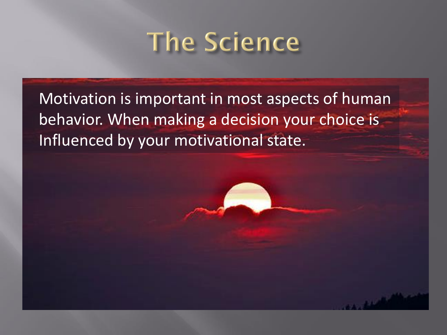# The Science

Motivation is important in most aspects of human behavior. When making a decision your choice is Influenced by your motivational state.

والأقتصاد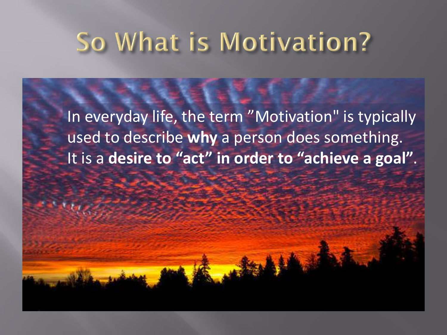# So What is Motivation?

In everyday life, the term "Motivation" is typically used to describe **why** a person does something. It is a **desire to "act" in order to "achieve a goal"**.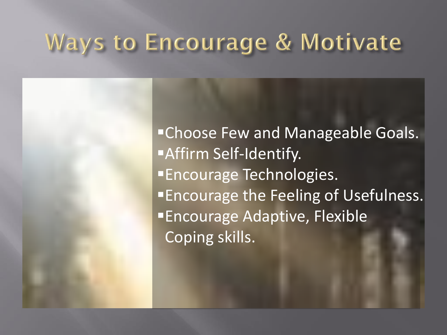#### **Ways to Encourage & Motivate**

**"Choose Few and Manageable Goals. Affirm Self-Identify. Encourage Technologies. Encourage the Feeling of Usefulness. Encourage Adaptive, Flexible** Coping skills.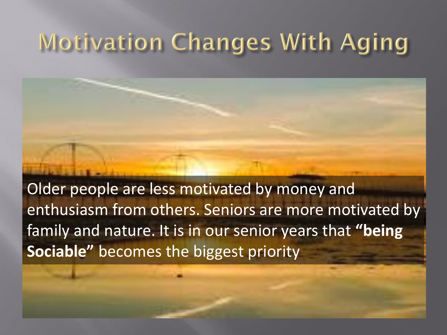### **Motivation Changes With Aging**

Older people are less motivated by money and enthusiasm from others. Seniors are more motivated by family and nature. It is in our senior years that **"being Sociable"** becomes the biggest priority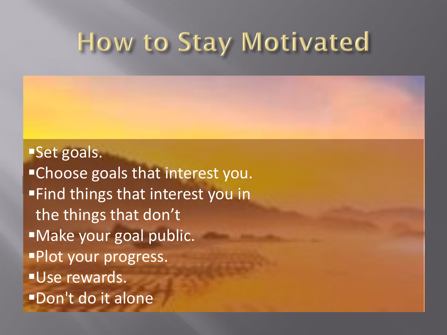## How to Stay Motivated

**Set goals. Example 20 Figure 1 Section** Ferricanson. **Find things that interest you in** the things that don't ■Make your goal public. **Plot your progress. Use rewards. Don't do it alone**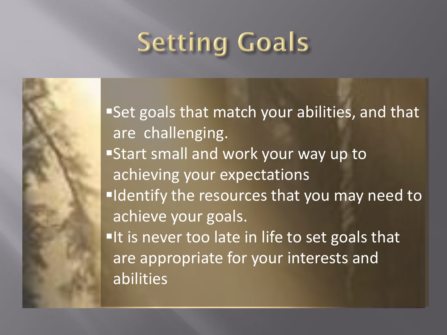# **Setting Goals**

**Set goals that match your abilities, and that** are challenging. **Start small and work your way up to** achieving your expectations **IDENTIFY THE RESOUTCES that you may need to** achieve your goals. It is never too late in life to set goals that are appropriate for your interests and abilities